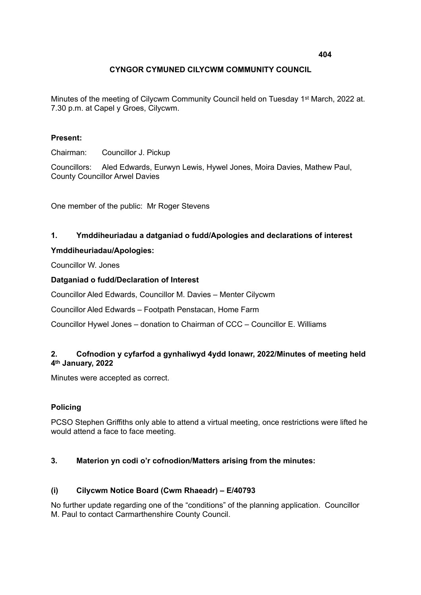# **CYNGOR CYMUNED CILYCWM COMMUNITY COUNCIL**

Minutes of the meeting of Cilycwm Community Council held on Tuesday 1st March, 2022 at. 7.30 p.m. at Capel y Groes, Cilycwm.

### **Present:**

Chairman: Councillor J. Pickup

Councillors: Aled Edwards, Eurwyn Lewis, Hywel Jones, Moira Davies, Mathew Paul, County Councillor Arwel Davies

One member of the public: Mr Roger Stevens

# **1. Ymddiheuriadau a datganiad o fudd/Apologies and declarations of interest**

#### **Ymddiheuriadau/Apologies:**

Councillor W. Jones

#### **Datganiad o fudd/Declaration of Interest**

Councillor Aled Edwards, Councillor M. Davies – Menter Cilycwm

Councillor Aled Edwards – Footpath Penstacan, Home Farm

Councillor Hywel Jones – donation to Chairman of CCC – Councillor E. Williams

# **2. Cofnodion y cyfarfod a gynhaliwyd 4ydd Ionawr, 2022/Minutes of meeting held 4th January, 2022**

Minutes were accepted as correct.

# **Policing**

PCSO Stephen Griffiths only able to attend a virtual meeting, once restrictions were lifted he would attend a face to face meeting.

# **3. Materion yn codi o'r cofnodion/Matters arising from the minutes:**

# **(i) Cilycwm Notice Board (Cwm Rhaeadr) – E/40793**

No further update regarding one of the "conditions" of the planning application. Councillor M. Paul to contact Carmarthenshire County Council.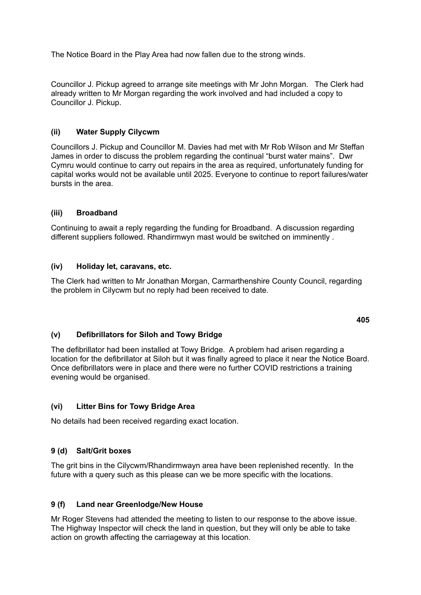The Notice Board in the Play Area had now fallen due to the strong winds.

Councillor J. Pickup agreed to arrange site meetings with Mr John Morgan. The Clerk had already written to Mr Morgan regarding the work involved and had included a copy to Councillor J. Pickup.

# **(ii) Water Supply Cilycwm**

Councillors J. Pickup and Councillor M. Davies had met with Mr Rob Wilson and Mr Steffan James in order to discuss the problem regarding the continual "burst water mains". Dwr Cymru would continue to carry out repairs in the area as required, unfortunately funding for capital works would not be available until 2025. Everyone to continue to report failures/water bursts in the area.

# **(iii) Broadband**

Continuing to await a reply regarding the funding for Broadband. A discussion regarding different suppliers followed. Rhandirmwyn mast would be switched on imminently .

# **(iv) Holiday let, caravans, etc.**

The Clerk had written to Mr Jonathan Morgan, Carmarthenshire County Council, regarding the problem in Cilycwm but no reply had been received to date.

# **(v) Defibrillators for Siloh and Towy Bridge**

The defibrillator had been installed at Towy Bridge. A problem had arisen regarding a location for the defibrillator at Siloh but it was finally agreed to place it near the Notice Board. Once defibrillators were in place and there were no further COVID restrictions a training evening would be organised.

# **(vi) Litter Bins for Towy Bridge Area**

No details had been received regarding exact location.

# **9 (d) Salt/Grit boxes**

The grit bins in the Cilycwm/Rhandirmwayn area have been replenished recently. In the future with a query such as this please can we be more specific with the locations.

# **9 (f) Land near Greenlodge/New House**

Mr Roger Stevens had attended the meeting to listen to our response to the above issue. The Highway Inspector will check the land in question, but they will only be able to take action on growth affecting the carriageway at this location.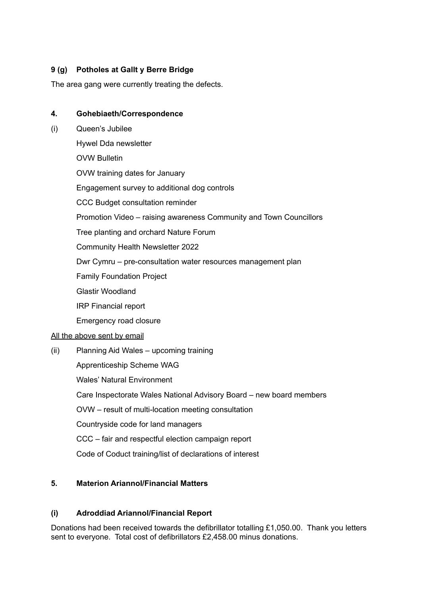# **9 (g) Potholes at Gallt y Berre Bridge**

The area gang were currently treating the defects.

# **4. Gohebiaeth/Correspondence**

(i) Queen's Jubilee Hywel Dda newsletter OVW Bulletin OVW training dates for January Engagement survey to additional dog controls CCC Budget consultation reminder Promotion Video – raising awareness Community and Town Councillors Tree planting and orchard Nature Forum Community Health Newsletter 2022 Dwr Cymru – pre-consultation water resources management plan Family Foundation Project Glastir Woodland IRP Financial report Emergency road closure All the above sent by email (ii) Planning Aid Wales – upcoming training Apprenticeship Scheme WAG Wales' Natural Environment Care Inspectorate Wales National Advisory Board – new board members OVW – result of multi-location meeting consultation Countryside code for land managers CCC – fair and respectful election campaign report Code of Coduct training/list of declarations of interest

# **5. Materion Ariannol/Financial Matters**

# **(i) Adroddiad Ariannol/Financial Report**

Donations had been received towards the defibrillator totalling £1,050.00. Thank you letters sent to everyone. Total cost of defibrillators £2,458.00 minus donations.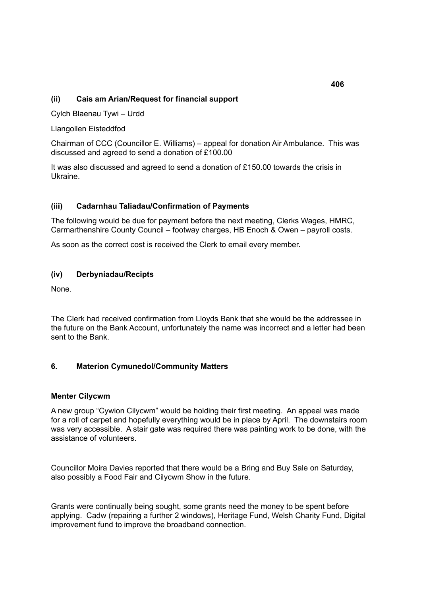# **(ii) Cais am Arian/Request for financial support**

Cylch Blaenau Tywi – Urdd

Llangollen Eisteddfod

Chairman of CCC (Councillor E. Williams) – appeal for donation Air Ambulance. This was discussed and agreed to send a donation of £100.00

It was also discussed and agreed to send a donation of £150.00 towards the crisis in Ukraine.

#### **(iii) Cadarnhau Taliadau/Confirmation of Payments**

The following would be due for payment before the next meeting, Clerks Wages, HMRC, Carmarthenshire County Council – footway charges, HB Enoch & Owen – payroll costs.

As soon as the correct cost is received the Clerk to email every member.

#### **(iv) Derbyniadau/Recipts**

None.

The Clerk had received confirmation from Lloyds Bank that she would be the addressee in the future on the Bank Account, unfortunately the name was incorrect and a letter had been sent to the Bank.

# **6. Materion Cymunedol/Community Matters**

#### **Menter Cilycwm**

A new group "Cywion Cilycwm" would be holding their first meeting. An appeal was made for a roll of carpet and hopefully everything would be in place by April. The downstairs room was very accessible. A stair gate was required there was painting work to be done, with the assistance of volunteers.

Councillor Moira Davies reported that there would be a Bring and Buy Sale on Saturday, also possibly a Food Fair and Cilycwm Show in the future.

Grants were continually being sought, some grants need the money to be spent before applying. Cadw (repairing a further 2 windows), Heritage Fund, Welsh Charity Fund, Digital improvement fund to improve the broadband connection.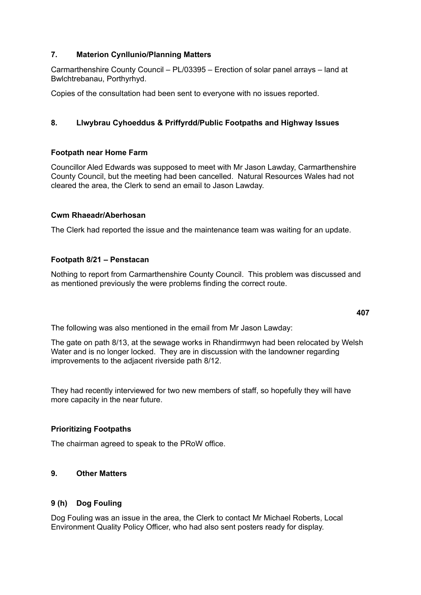# **7. Materion Cynllunio/Planning Matters**

Carmarthenshire County Council – PL/03395 – Erection of solar panel arrays – land at Bwlchtrebanau, Porthyrhyd.

Copies of the consultation had been sent to everyone with no issues reported.

# **8. Llwybrau Cyhoeddus & Priffyrdd/Public Footpaths and Highway Issues**

# **Footpath near Home Farm**

Councillor Aled Edwards was supposed to meet with Mr Jason Lawday, Carmarthenshire County Council, but the meeting had been cancelled. Natural Resources Wales had not cleared the area, the Clerk to send an email to Jason Lawday.

#### **Cwm Rhaeadr/Aberhosan**

The Clerk had reported the issue and the maintenance team was waiting for an update.

# **Footpath 8/21 – Penstacan**

Nothing to report from Carmarthenshire County Council. This problem was discussed and as mentioned previously the were problems finding the correct route.

The following was also mentioned in the email from Mr Jason Lawday:

The gate on path 8/13, at the sewage works in Rhandirmwyn had been relocated by Welsh Water and is no longer locked. They are in discussion with the landowner regarding improvements to the adjacent riverside path 8/12.

They had recently interviewed for two new members of staff, so hopefully they will have more capacity in the near future.

# **Prioritizing Footpaths**

The chairman agreed to speak to the PRoW office.

# **9. Other Matters**

# **9 (h) Dog Fouling**

Dog Fouling was an issue in the area, the Clerk to contact Mr Michael Roberts, Local Environment Quality Policy Officer, who had also sent posters ready for display.